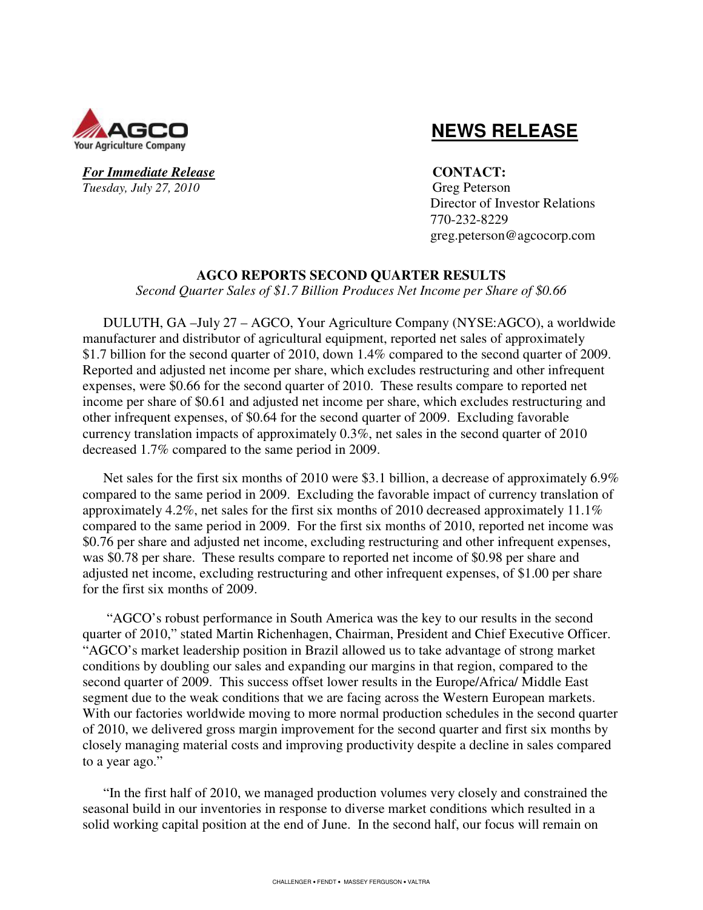

For Immediate Release **CONTACT**: *Tuesday, July 27, 2010* Greg Peterson

# **NEWS RELEASE**

 Director of Investor Relations 770-232-8229 greg.peterson@agcocorp.com

### **AGCO REPORTS SECOND QUARTER RESULTS**

*Second Quarter Sales of \$1.7 Billion Produces Net Income per Share of \$0.66* 

DULUTH, GA –July 27 – AGCO, Your Agriculture Company (NYSE:AGCO), a worldwide manufacturer and distributor of agricultural equipment, reported net sales of approximately \$1.7 billion for the second quarter of 2010, down 1.4% compared to the second quarter of 2009. Reported and adjusted net income per share, which excludes restructuring and other infrequent expenses, were \$0.66 for the second quarter of 2010. These results compare to reported net income per share of \$0.61 and adjusted net income per share, which excludes restructuring and other infrequent expenses, of \$0.64 for the second quarter of 2009. Excluding favorable currency translation impacts of approximately 0.3%, net sales in the second quarter of 2010 decreased 1.7% compared to the same period in 2009.

Net sales for the first six months of 2010 were \$3.1 billion, a decrease of approximately 6.9% compared to the same period in 2009. Excluding the favorable impact of currency translation of approximately 4.2%, net sales for the first six months of 2010 decreased approximately 11.1% compared to the same period in 2009. For the first six months of 2010, reported net income was \$0.76 per share and adjusted net income, excluding restructuring and other infrequent expenses, was \$0.78 per share. These results compare to reported net income of \$0.98 per share and adjusted net income, excluding restructuring and other infrequent expenses, of \$1.00 per share for the first six months of 2009.

 "AGCO's robust performance in South America was the key to our results in the second quarter of 2010," stated Martin Richenhagen, Chairman, President and Chief Executive Officer. "AGCO's market leadership position in Brazil allowed us to take advantage of strong market conditions by doubling our sales and expanding our margins in that region, compared to the second quarter of 2009. This success offset lower results in the Europe/Africa/ Middle East segment due to the weak conditions that we are facing across the Western European markets. With our factories worldwide moving to more normal production schedules in the second quarter of 2010, we delivered gross margin improvement for the second quarter and first six months by closely managing material costs and improving productivity despite a decline in sales compared to a year ago."

"In the first half of 2010, we managed production volumes very closely and constrained the seasonal build in our inventories in response to diverse market conditions which resulted in a solid working capital position at the end of June. In the second half, our focus will remain on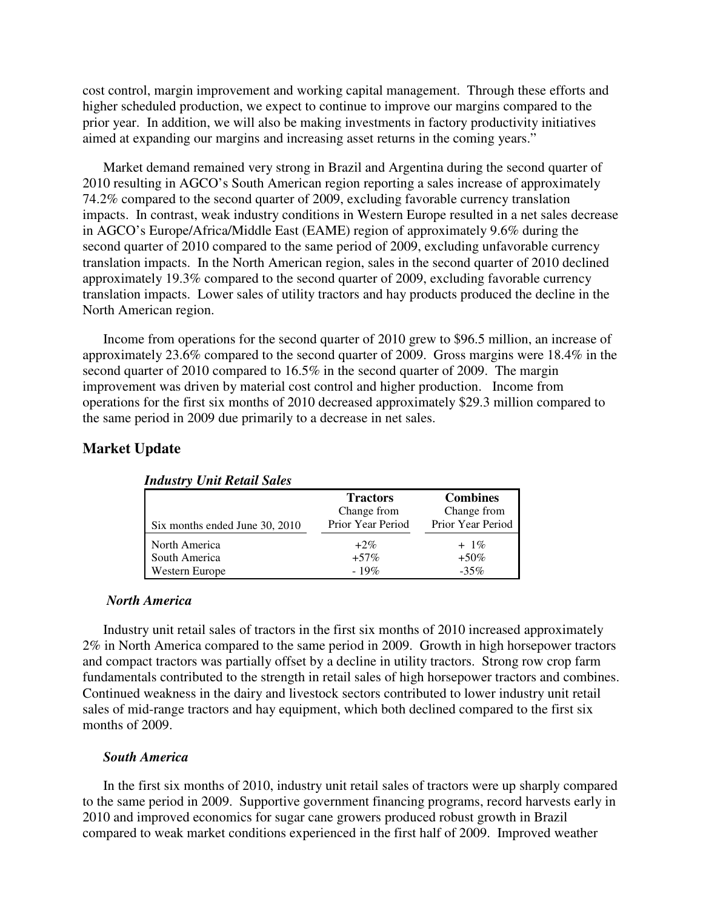cost control, margin improvement and working capital management. Through these efforts and higher scheduled production, we expect to continue to improve our margins compared to the prior year. In addition, we will also be making investments in factory productivity initiatives aimed at expanding our margins and increasing asset returns in the coming years."

Market demand remained very strong in Brazil and Argentina during the second quarter of 2010 resulting in AGCO's South American region reporting a sales increase of approximately 74.2% compared to the second quarter of 2009, excluding favorable currency translation impacts. In contrast, weak industry conditions in Western Europe resulted in a net sales decrease in AGCO's Europe/Africa/Middle East (EAME) region of approximately 9.6% during the second quarter of 2010 compared to the same period of 2009, excluding unfavorable currency translation impacts. In the North American region, sales in the second quarter of 2010 declined approximately 19.3% compared to the second quarter of 2009, excluding favorable currency translation impacts. Lower sales of utility tractors and hay products produced the decline in the North American region.

Income from operations for the second quarter of 2010 grew to \$96.5 million, an increase of approximately 23.6% compared to the second quarter of 2009. Gross margins were 18.4% in the second quarter of 2010 compared to 16.5% in the second quarter of 2009. The margin improvement was driven by material cost control and higher production. Income from operations for the first six months of 2010 decreased approximately \$29.3 million compared to the same period in 2009 due primarily to a decrease in net sales.

### **Market Update**

| Six months ended June 30, 2010  | <b>Tractors</b><br>Change from<br>Prior Year Period | <b>Combines</b><br>Change from<br>Prior Year Period |
|---------------------------------|-----------------------------------------------------|-----------------------------------------------------|
| North America                   | $+2\%$                                              | $+1\%$                                              |
| South America<br>Western Europe | $+57\%$<br>$-19%$                                   | $+50\%$<br>$-35%$                                   |

*Industry Unit Retail Sales* 

### *North America*

Industry unit retail sales of tractors in the first six months of 2010 increased approximately 2% in North America compared to the same period in 2009. Growth in high horsepower tractors and compact tractors was partially offset by a decline in utility tractors. Strong row crop farm fundamentals contributed to the strength in retail sales of high horsepower tractors and combines. Continued weakness in the dairy and livestock sectors contributed to lower industry unit retail sales of mid-range tractors and hay equipment, which both declined compared to the first six months of 2009.

### *South America*

In the first six months of 2010, industry unit retail sales of tractors were up sharply compared to the same period in 2009. Supportive government financing programs, record harvests early in 2010 and improved economics for sugar cane growers produced robust growth in Brazil compared to weak market conditions experienced in the first half of 2009. Improved weather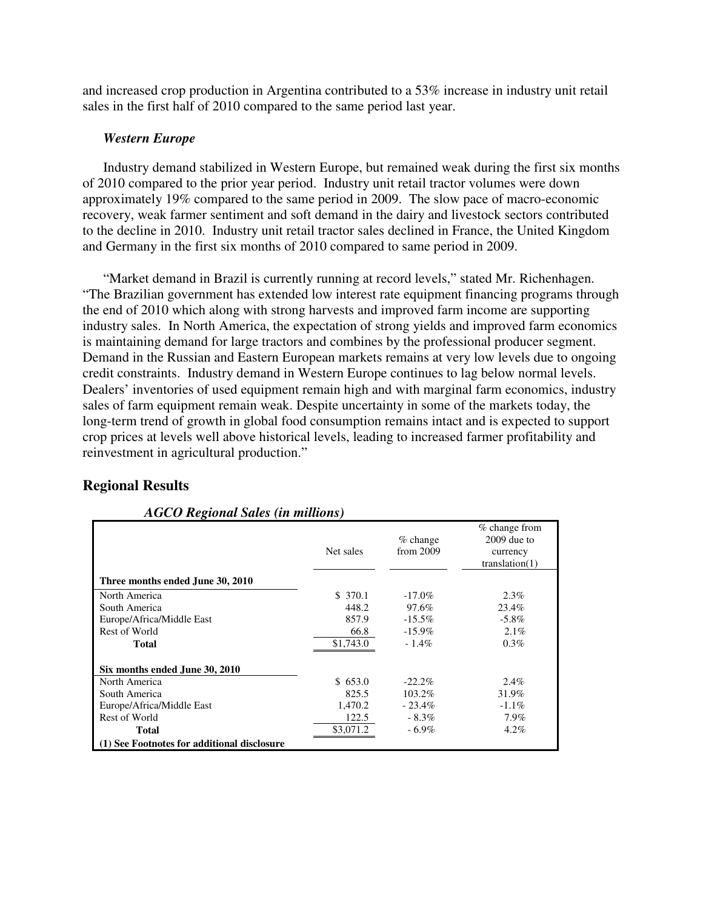and increased crop production in Argentina contributed to a 53% increase in industry unit retail sales in the first half of 2010 compared to the same period last year.

### *Western Europe*

Industry demand stabilized in Western Europe, but remained weak during the first six months of 2010 compared to the prior year period. Industry unit retail tractor volumes were down approximately 19% compared to the same period in 2009. The slow pace of macro-economic recovery, weak farmer sentiment and soft demand in the dairy and livestock sectors contributed to the decline in 2010. Industry unit retail tractor sales declined in France, the United Kingdom and Germany in the first six months of 2010 compared to same period in 2009.

"Market demand in Brazil is currently running at record levels," stated Mr. Richenhagen. "The Brazilian government has extended low interest rate equipment financing programs through the end of 2010 which along with strong harvests and improved farm income are supporting industry sales. In North America, the expectation of strong yields and improved farm economics is maintaining demand for large tractors and combines by the professional producer segment. Demand in the Russian and Eastern European markets remains at very low levels due to ongoing credit constraints. Industry demand in Western Europe continues to lag below normal levels. Dealers' inventories of used equipment remain high and with marginal farm economics, industry sales of farm equipment remain weak. Despite uncertainty in some of the markets today, the long-term trend of growth in global food consumption remains intact and is expected to support crop prices at levels well above historical levels, leading to increased farmer profitability and reinvestment in agricultural production."

### **Regional Results**

|                                             | Net sales | $%$ change<br>from 2009 | $%$ change from<br>$2009$ due to<br>currency<br>translation(1) |
|---------------------------------------------|-----------|-------------------------|----------------------------------------------------------------|
| Three months ended June 30, 2010            |           |                         |                                                                |
| North America                               | \$ 370.1  | $-17.0\%$               | $2.3\%$                                                        |
| South America                               | 448.2     | 97.6%                   | 23.4%                                                          |
| Europe/Africa/Middle East                   | 857.9     | $-15.5\%$               | $-5.8\%$                                                       |
| Rest of World                               | 66.8      | $-15.9\%$               | $2.1\%$                                                        |
| Total                                       | \$1,743.0 | $-1.4\%$                | $0.3\%$                                                        |
| Six months ended June 30, 2010              |           |                         |                                                                |
| North America                               | \$653.0   | $-22.2\%$               | 2.4%                                                           |
| South America                               | 825.5     | 103.2%                  | 31.9%                                                          |
| Europe/Africa/Middle East                   | 1,470.2   | $-23.4\%$               | $-1.1\%$                                                       |
| Rest of World                               | 122.5     | $-8.3\%$                | 7.9%                                                           |
| Total                                       | \$3,071.2 | $-6.9\%$                | $4.2\%$                                                        |
| (1) See Footnotes for additional disclosure |           |                         |                                                                |

### *AGCO Regional Sales (in millions)*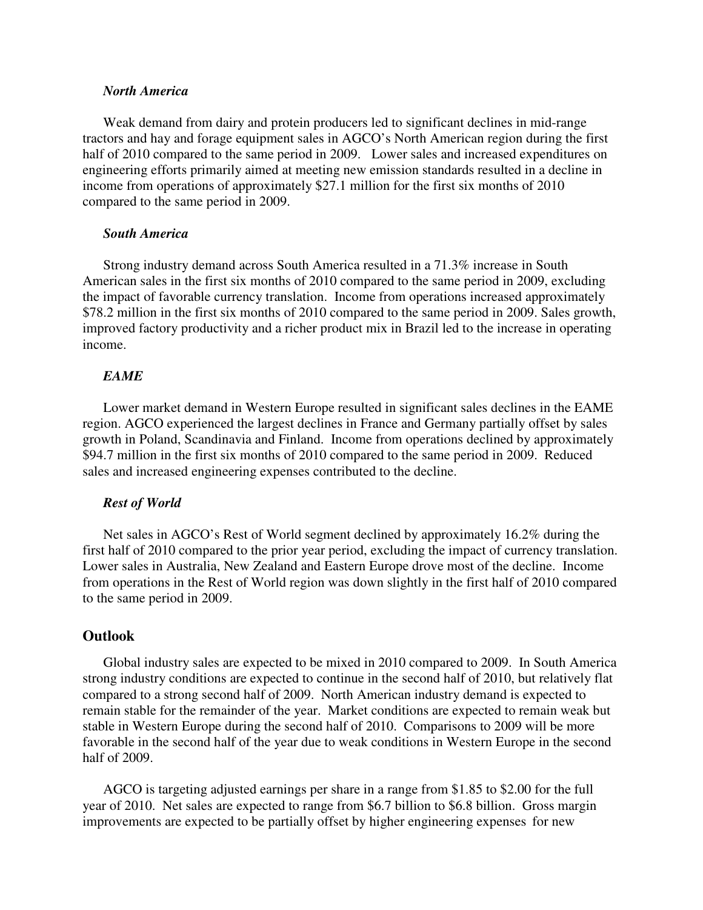### *North America*

Weak demand from dairy and protein producers led to significant declines in mid-range tractors and hay and forage equipment sales in AGCO's North American region during the first half of 2010 compared to the same period in 2009. Lower sales and increased expenditures on engineering efforts primarily aimed at meeting new emission standards resulted in a decline in income from operations of approximately \$27.1 million for the first six months of 2010 compared to the same period in 2009.

### *South America*

Strong industry demand across South America resulted in a 71.3% increase in South American sales in the first six months of 2010 compared to the same period in 2009, excluding the impact of favorable currency translation. Income from operations increased approximately \$78.2 million in the first six months of 2010 compared to the same period in 2009. Sales growth, improved factory productivity and a richer product mix in Brazil led to the increase in operating income.

#### *EAME*

Lower market demand in Western Europe resulted in significant sales declines in the EAME region. AGCO experienced the largest declines in France and Germany partially offset by sales growth in Poland, Scandinavia and Finland. Income from operations declined by approximately \$94.7 million in the first six months of 2010 compared to the same period in 2009. Reduced sales and increased engineering expenses contributed to the decline.

#### *Rest of World*

Net sales in AGCO's Rest of World segment declined by approximately 16.2% during the first half of 2010 compared to the prior year period, excluding the impact of currency translation. Lower sales in Australia, New Zealand and Eastern Europe drove most of the decline. Income from operations in the Rest of World region was down slightly in the first half of 2010 compared to the same period in 2009.

#### **Outlook**

Global industry sales are expected to be mixed in 2010 compared to 2009. In South America strong industry conditions are expected to continue in the second half of 2010, but relatively flat compared to a strong second half of 2009. North American industry demand is expected to remain stable for the remainder of the year. Market conditions are expected to remain weak but stable in Western Europe during the second half of 2010. Comparisons to 2009 will be more favorable in the second half of the year due to weak conditions in Western Europe in the second half of 2009.

AGCO is targeting adjusted earnings per share in a range from \$1.85 to \$2.00 for the full year of 2010. Net sales are expected to range from \$6.7 billion to \$6.8 billion. Gross margin improvements are expected to be partially offset by higher engineering expenses for new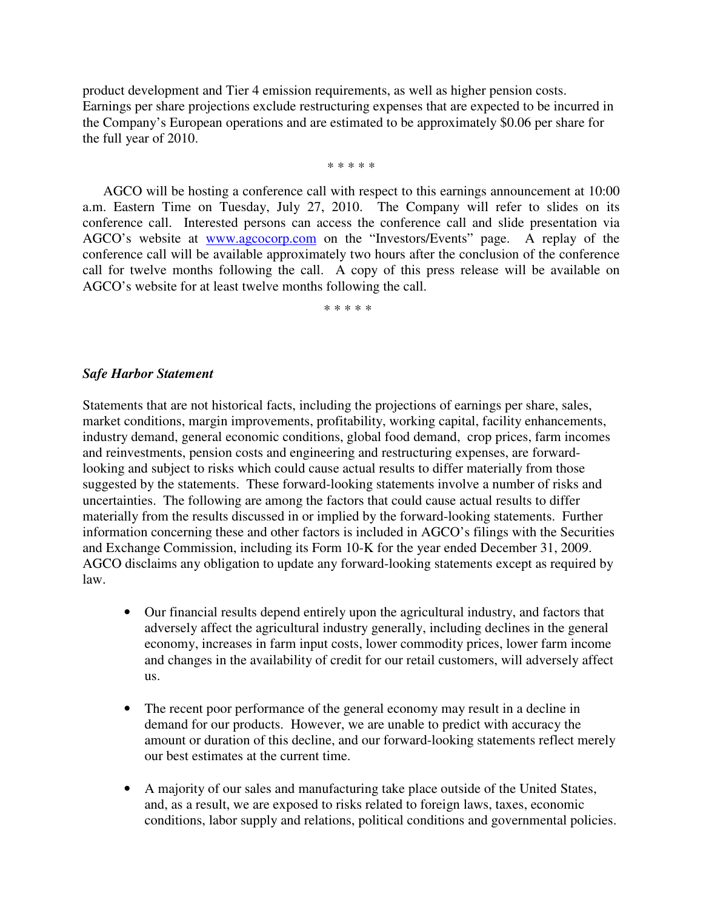product development and Tier 4 emission requirements, as well as higher pension costs. Earnings per share projections exclude restructuring expenses that are expected to be incurred in the Company's European operations and are estimated to be approximately \$0.06 per share for the full year of 2010.

\* \* \* \* \*

AGCO will be hosting a conference call with respect to this earnings announcement at 10:00 a.m. Eastern Time on Tuesday, July 27, 2010. The Company will refer to slides on its conference call. Interested persons can access the conference call and slide presentation via AGCO's website at www.agcocorp.com on the "Investors/Events" page. A replay of the conference call will be available approximately two hours after the conclusion of the conference call for twelve months following the call. A copy of this press release will be available on AGCO's website for at least twelve months following the call.

\* \* \* \* \*

### *Safe Harbor Statement*

Statements that are not historical facts, including the projections of earnings per share, sales, market conditions, margin improvements, profitability, working capital, facility enhancements, industry demand, general economic conditions, global food demand, crop prices, farm incomes and reinvestments, pension costs and engineering and restructuring expenses, are forwardlooking and subject to risks which could cause actual results to differ materially from those suggested by the statements. These forward-looking statements involve a number of risks and uncertainties. The following are among the factors that could cause actual results to differ materially from the results discussed in or implied by the forward-looking statements. Further information concerning these and other factors is included in AGCO's filings with the Securities and Exchange Commission, including its Form 10-K for the year ended December 31, 2009. AGCO disclaims any obligation to update any forward-looking statements except as required by law.

- Our financial results depend entirely upon the agricultural industry, and factors that adversely affect the agricultural industry generally, including declines in the general economy, increases in farm input costs, lower commodity prices, lower farm income and changes in the availability of credit for our retail customers, will adversely affect us.
- The recent poor performance of the general economy may result in a decline in demand for our products. However, we are unable to predict with accuracy the amount or duration of this decline, and our forward-looking statements reflect merely our best estimates at the current time.
- A majority of our sales and manufacturing take place outside of the United States, and, as a result, we are exposed to risks related to foreign laws, taxes, economic conditions, labor supply and relations, political conditions and governmental policies.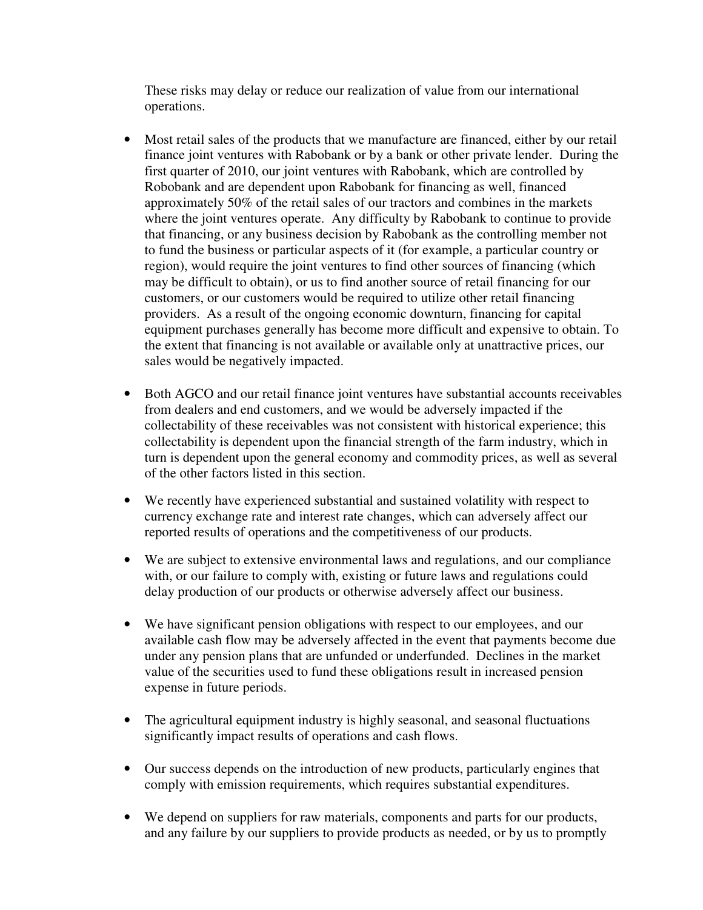These risks may delay or reduce our realization of value from our international operations.

- Most retail sales of the products that we manufacture are financed, either by our retail finance joint ventures with Rabobank or by a bank or other private lender. During the first quarter of 2010, our joint ventures with Rabobank, which are controlled by Robobank and are dependent upon Rabobank for financing as well, financed approximately 50% of the retail sales of our tractors and combines in the markets where the joint ventures operate. Any difficulty by Rabobank to continue to provide that financing, or any business decision by Rabobank as the controlling member not to fund the business or particular aspects of it (for example, a particular country or region), would require the joint ventures to find other sources of financing (which may be difficult to obtain), or us to find another source of retail financing for our customers, or our customers would be required to utilize other retail financing providers. As a result of the ongoing economic downturn, financing for capital equipment purchases generally has become more difficult and expensive to obtain. To the extent that financing is not available or available only at unattractive prices, our sales would be negatively impacted.
- Both AGCO and our retail finance joint ventures have substantial accounts receivables from dealers and end customers, and we would be adversely impacted if the collectability of these receivables was not consistent with historical experience; this collectability is dependent upon the financial strength of the farm industry, which in turn is dependent upon the general economy and commodity prices, as well as several of the other factors listed in this section.
- We recently have experienced substantial and sustained volatility with respect to currency exchange rate and interest rate changes, which can adversely affect our reported results of operations and the competitiveness of our products.
- We are subject to extensive environmental laws and regulations, and our compliance with, or our failure to comply with, existing or future laws and regulations could delay production of our products or otherwise adversely affect our business.
- We have significant pension obligations with respect to our employees, and our available cash flow may be adversely affected in the event that payments become due under any pension plans that are unfunded or underfunded. Declines in the market value of the securities used to fund these obligations result in increased pension expense in future periods.
- The agricultural equipment industry is highly seasonal, and seasonal fluctuations significantly impact results of operations and cash flows.
- Our success depends on the introduction of new products, particularly engines that comply with emission requirements, which requires substantial expenditures.
- We depend on suppliers for raw materials, components and parts for our products, and any failure by our suppliers to provide products as needed, or by us to promptly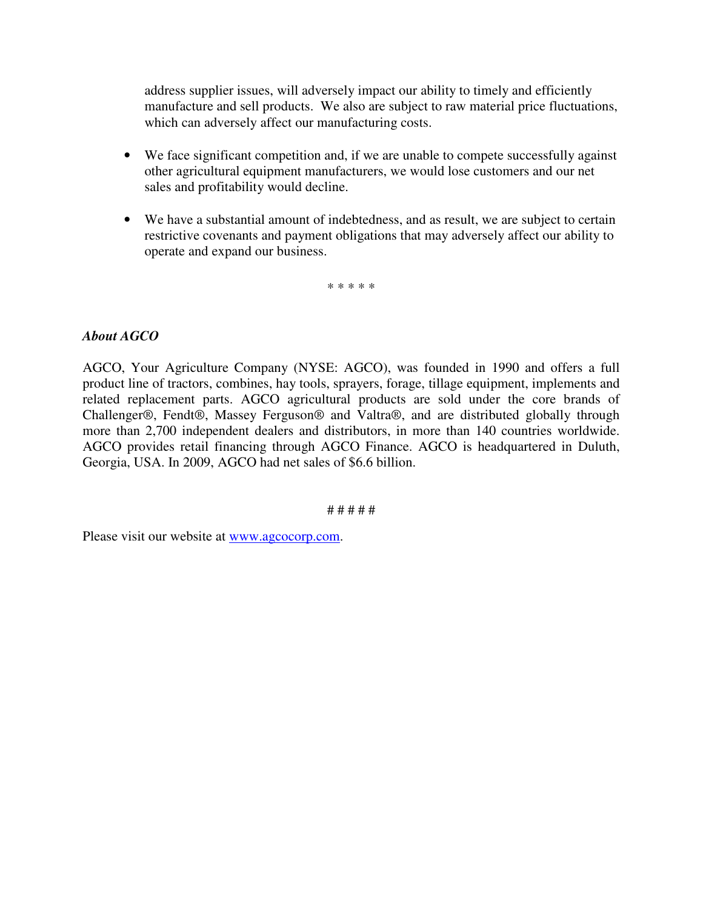address supplier issues, will adversely impact our ability to timely and efficiently manufacture and sell products. We also are subject to raw material price fluctuations, which can adversely affect our manufacturing costs.

- We face significant competition and, if we are unable to compete successfully against other agricultural equipment manufacturers, we would lose customers and our net sales and profitability would decline.
- We have a substantial amount of indebtedness, and as result, we are subject to certain restrictive covenants and payment obligations that may adversely affect our ability to operate and expand our business.

\* \* \* \* \*

### *About AGCO*

AGCO, Your Agriculture Company (NYSE: AGCO), was founded in 1990 and offers a full product line of tractors, combines, hay tools, sprayers, forage, tillage equipment, implements and related replacement parts. AGCO agricultural products are sold under the core brands of Challenger®, Fendt®, Massey Ferguson® and Valtra®, and are distributed globally through more than 2,700 independent dealers and distributors, in more than 140 countries worldwide. AGCO provides retail financing through AGCO Finance. AGCO is headquartered in Duluth, Georgia, USA. In 2009, AGCO had net sales of \$6.6 billion.

# # # # #

Please visit our website at www.agcocorp.com.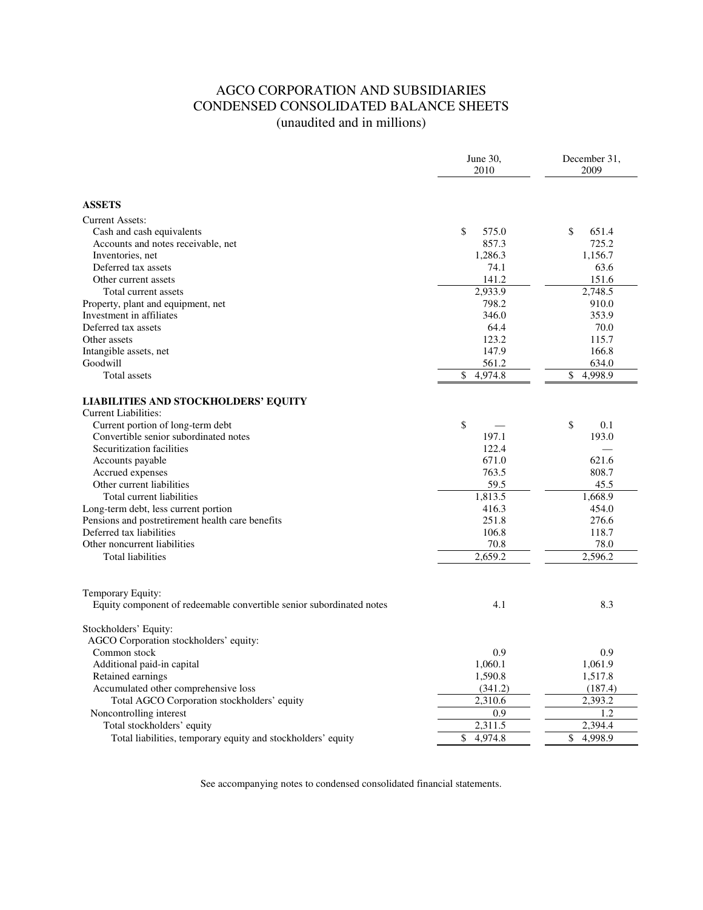### AGCO CORPORATION AND SUBSIDIARIES CONDENSED CONSOLIDATED BALANCE SHEETS (unaudited and in millions)

|                                                                      | June 30,<br>2010     | December 31,<br>2009 |
|----------------------------------------------------------------------|----------------------|----------------------|
| <b>ASSETS</b>                                                        |                      |                      |
|                                                                      |                      |                      |
| <b>Current Assets:</b>                                               |                      |                      |
| Cash and cash equivalents                                            | \$<br>575.0<br>857.3 | \$<br>651.4<br>725.2 |
| Accounts and notes receivable, net<br>Inventories, net               | 1,286.3              | 1,156.7              |
| Deferred tax assets                                                  | 74.1                 | 63.6                 |
| Other current assets                                                 | 141.2                | 151.6                |
| Total current assets                                                 | 2,933.9              | 2.748.5              |
| Property, plant and equipment, net                                   | 798.2                | 910.0                |
| Investment in affiliates                                             | 346.0                | 353.9                |
| Deferred tax assets                                                  | 64.4                 | 70.0                 |
| Other assets                                                         | 123.2                | 115.7                |
| Intangible assets, net                                               | 147.9                | 166.8                |
| Goodwill                                                             | 561.2                | 634.0                |
| Total assets                                                         | \$<br>4,974.8        | \$<br>4,998.9        |
| <b>LIABILITIES AND STOCKHOLDERS' EQUITY</b><br>Current Liabilities:  |                      |                      |
| Current portion of long-term debt                                    | \$                   | \$<br>0.1            |
| Convertible senior subordinated notes                                | 197.1                | 193.0                |
| Securitization facilities                                            | 122.4                |                      |
| Accounts payable                                                     | 671.0                | 621.6                |
| Accrued expenses                                                     | 763.5                | 808.7                |
| Other current liabilities                                            | 59.5                 | 45.5                 |
| Total current liabilities                                            | 1,813.5              | 1,668.9              |
| Long-term debt, less current portion                                 | 416.3                | 454.0                |
| Pensions and postretirement health care benefits                     | 251.8                | 276.6                |
| Deferred tax liabilities                                             | 106.8                | 118.7                |
| Other noncurrent liabilities                                         | 70.8                 | 78.0                 |
| <b>Total liabilities</b>                                             | 2.659.2              | 2,596.2              |
| Temporary Equity:                                                    |                      |                      |
| Equity component of redeemable convertible senior subordinated notes | 4.1                  | 8.3                  |
| Stockholders' Equity:                                                |                      |                      |
| AGCO Corporation stockholders' equity:                               |                      |                      |
| Common stock                                                         | 0.9                  | 0.9                  |
| Additional paid-in capital                                           | 1,060.1              | 1,061.9              |
| Retained earnings                                                    | 1,590.8              | 1,517.8              |
| Accumulated other comprehensive loss                                 | (341.2)              | (187.4)              |
| Total AGCO Corporation stockholders' equity                          | 2,310.6              | 2,393.2              |
| Noncontrolling interest                                              | 0.9                  | 1.2                  |
| Total stockholders' equity                                           | 2,311.5              | 2,394.4              |
| Total liabilities, temporary equity and stockholders' equity         | \$<br>4.974.8        | \$<br>4.998.9        |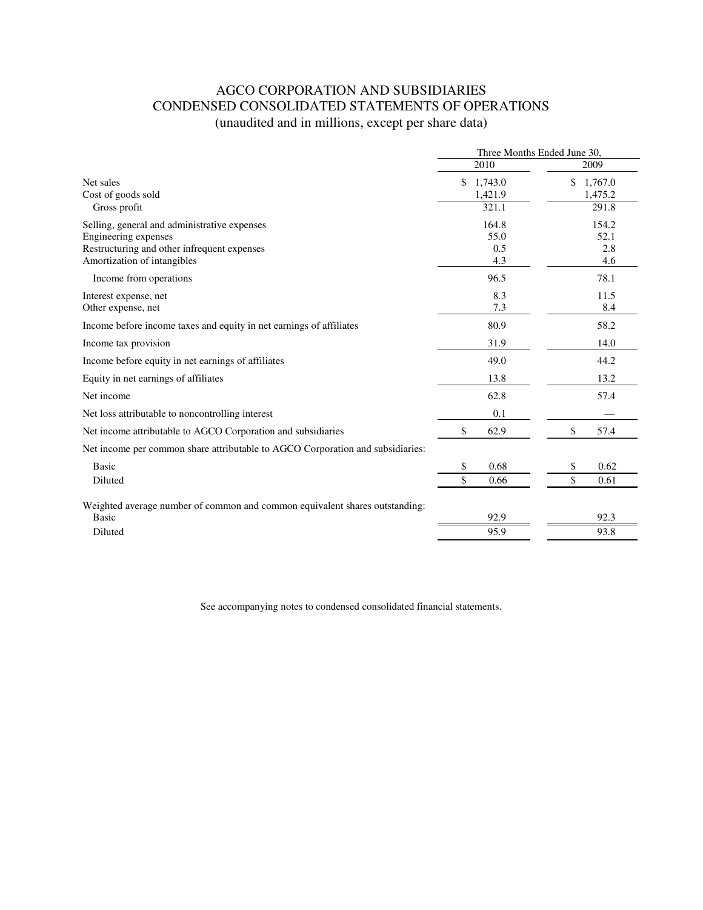# AGCO CORPORATION AND SUBSIDIARIES CONDENSED CONSOLIDATED STATEMENTS OF OPERATIONS (unaudited and in millions, except per share data)

|                                                                                | Three Months Ended June 30, |               |  |
|--------------------------------------------------------------------------------|-----------------------------|---------------|--|
|                                                                                | 2010                        | 2009          |  |
| Net sales                                                                      | \$<br>1,743.0               | \$<br>1,767.0 |  |
| Cost of goods sold                                                             | 1,421.9                     | 1.475.2       |  |
| Gross profit                                                                   | 321.1                       | 291.8         |  |
| Selling, general and administrative expenses                                   | 164.8                       | 154.2         |  |
| Engineering expenses                                                           | 55.0                        | 52.1          |  |
| Restructuring and other infrequent expenses                                    | 0.5                         | 2.8           |  |
| Amortization of intangibles                                                    | 4.3                         | 4.6           |  |
| Income from operations                                                         | 96.5                        | 78.1          |  |
| Interest expense, net                                                          | 8.3                         | 11.5          |  |
| Other expense, net                                                             | 7.3                         | 8.4           |  |
| Income before income taxes and equity in net earnings of affiliates            | 80.9                        | 58.2          |  |
| Income tax provision                                                           | 31.9                        | 14.0          |  |
| Income before equity in net earnings of affiliates                             | 49.0                        | 44.2          |  |
| Equity in net earnings of affiliates                                           | 13.8                        | 13.2          |  |
| Net income                                                                     | 62.8                        | 57.4          |  |
| Net loss attributable to noncontrolling interest                               | 0.1                         |               |  |
| Net income attributable to AGCO Corporation and subsidiaries                   | \$<br>62.9                  | \$<br>57.4    |  |
| Net income per common share attributable to AGCO Corporation and subsidiaries: |                             |               |  |
| <b>Basic</b>                                                                   | 0.68<br>\$                  | \$<br>0.62    |  |
| Diluted                                                                        | \$<br>0.66                  | \$<br>0.61    |  |
| Weighted average number of common and common equivalent shares outstanding:    |                             |               |  |
| <b>Basic</b>                                                                   | 92.9                        | 92.3          |  |
| Diluted                                                                        | 95.9                        | 93.8          |  |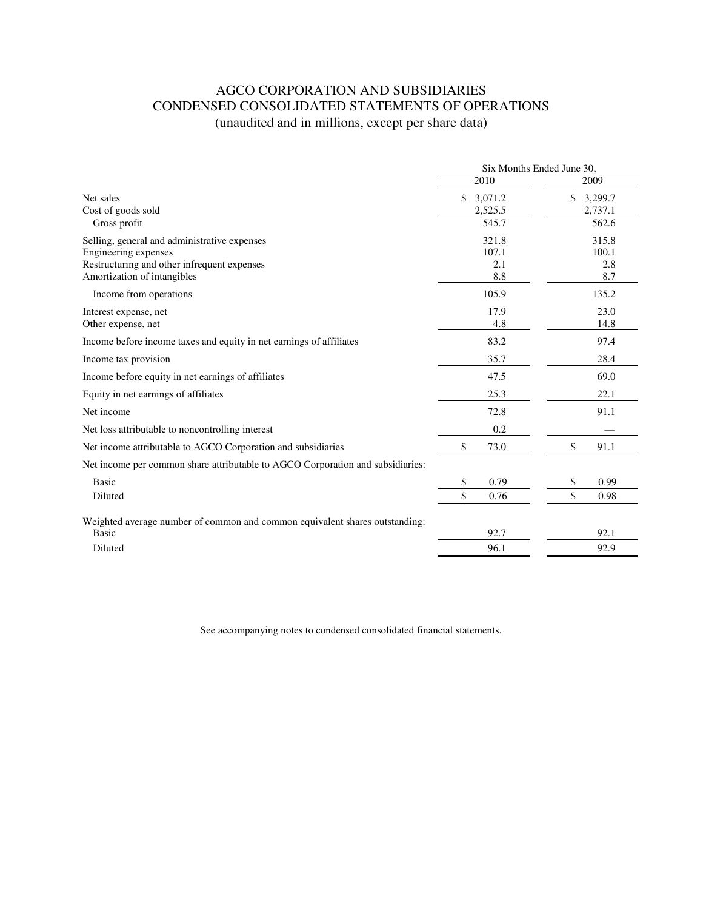# AGCO CORPORATION AND SUBSIDIARIES CONDENSED CONSOLIDATED STATEMENTS OF OPERATIONS (unaudited and in millions, except per share data)

|                                                                                | Six Months Ended June 30, |               |  |
|--------------------------------------------------------------------------------|---------------------------|---------------|--|
|                                                                                | 2010                      | 2009          |  |
| Net sales                                                                      | \$<br>3,071.2             | \$<br>3,299.7 |  |
| Cost of goods sold                                                             | 2,525.5                   | 2,737.1       |  |
| Gross profit                                                                   | 545.7                     | 562.6         |  |
| Selling, general and administrative expenses                                   | 321.8                     | 315.8         |  |
| Engineering expenses                                                           | 107.1                     | 100.1         |  |
| Restructuring and other infrequent expenses                                    | 2.1                       | 2.8           |  |
| Amortization of intangibles                                                    | 8.8                       | 8.7           |  |
| Income from operations                                                         | 105.9                     | 135.2         |  |
| Interest expense, net                                                          | 17.9                      | 23.0          |  |
| Other expense, net                                                             | 4.8                       | 14.8          |  |
| Income before income taxes and equity in net earnings of affiliates            | 83.2                      | 97.4          |  |
| Income tax provision                                                           | 35.7                      | 28.4          |  |
| Income before equity in net earnings of affiliates                             | 47.5                      | 69.0          |  |
| Equity in net earnings of affiliates                                           | 25.3                      | 22.1          |  |
| Net income                                                                     | 72.8                      | 91.1          |  |
| Net loss attributable to noncontrolling interest                               | 0.2                       |               |  |
| Net income attributable to AGCO Corporation and subsidiaries                   | \$<br>73.0                | \$<br>91.1    |  |
| Net income per common share attributable to AGCO Corporation and subsidiaries: |                           |               |  |
| <b>Basic</b>                                                                   | 0.79<br>\$                | 0.99<br>\$    |  |
| Diluted                                                                        | \$<br>0.76                | \$<br>0.98    |  |
| Weighted average number of common and common equivalent shares outstanding:    |                           |               |  |
| <b>Basic</b>                                                                   | 92.7                      | 92.1          |  |
| Diluted                                                                        | 96.1                      | 92.9          |  |
|                                                                                |                           |               |  |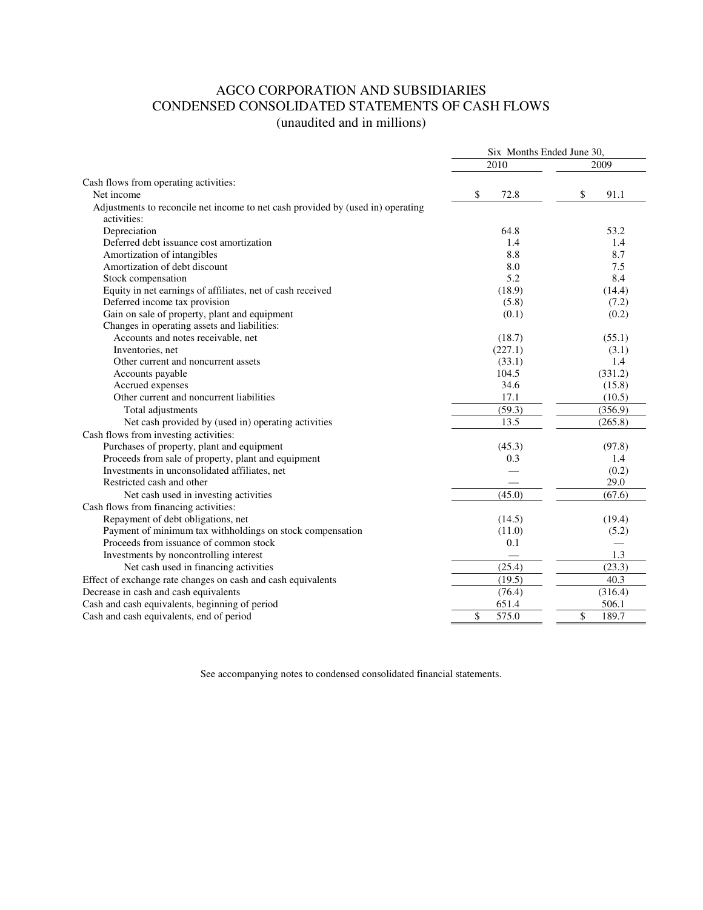### AGCO CORPORATION AND SUBSIDIARIES CONDENSED CONSOLIDATED STATEMENTS OF CASH FLOWS (unaudited and in millions)

| 2010<br>2009<br>Cash flows from operating activities:<br>Net income<br>91.1<br>\$<br>72.8<br>\$<br>Adjustments to reconcile net income to net cash provided by (used in) operating<br>activities:<br>Depreciation<br>64.8<br>53.2<br>Deferred debt issuance cost amortization<br>1.4<br>1.4<br>Amortization of intangibles<br>8.8<br>8.7<br>8.0<br>7.5<br>Amortization of debt discount<br>5.2<br>Stock compensation<br>8.4<br>Equity in net earnings of affiliates, net of cash received<br>(18.9)<br>(14.4)<br>Deferred income tax provision<br>(5.8)<br>(7.2)<br>Gain on sale of property, plant and equipment<br>(0.2)<br>(0.1)<br>Changes in operating assets and liabilities:<br>Accounts and notes receivable, net<br>(18.7)<br>(55.1)<br>Inventories, net<br>(227.1)<br>(3.1)<br>Other current and noncurrent assets<br>(33.1)<br>1.4<br>104.5<br>Accounts payable<br>(331.2)<br>Accrued expenses<br>34.6<br>(15.8)<br>Other current and noncurrent liabilities<br>17.1<br>(10.5)<br>(59.3)<br>(356.9)<br>Total adjustments<br>(265.8)<br>Net cash provided by (used in) operating activities<br>13.5<br>Cash flows from investing activities:<br>Purchases of property, plant and equipment<br>(45.3)<br>(97.8)<br>Proceeds from sale of property, plant and equipment<br>0.3<br>1.4<br>Investments in unconsolidated affiliates, net<br>(0.2)<br>Restricted cash and other<br>29.0<br>(45.0)<br>(67.6)<br>Net cash used in investing activities<br>Cash flows from financing activities:<br>Repayment of debt obligations, net<br>(14.5)<br>(19.4)<br>Payment of minimum tax withholdings on stock compensation<br>(11.0)<br>(5.2)<br>Proceeds from issuance of common stock<br>0.1<br>Investments by noncontrolling interest<br>1.3<br>(25.4)<br>(23.3)<br>Net cash used in financing activities<br>(19.5)<br>Effect of exchange rate changes on cash and cash equivalents<br>40.3<br>(316.4)<br>Decrease in cash and cash equivalents<br>(76.4)<br>Cash and cash equivalents, beginning of period<br>651.4<br>506.1 |                                          | Six Months Ended June 30, |             |  |
|---------------------------------------------------------------------------------------------------------------------------------------------------------------------------------------------------------------------------------------------------------------------------------------------------------------------------------------------------------------------------------------------------------------------------------------------------------------------------------------------------------------------------------------------------------------------------------------------------------------------------------------------------------------------------------------------------------------------------------------------------------------------------------------------------------------------------------------------------------------------------------------------------------------------------------------------------------------------------------------------------------------------------------------------------------------------------------------------------------------------------------------------------------------------------------------------------------------------------------------------------------------------------------------------------------------------------------------------------------------------------------------------------------------------------------------------------------------------------------------------------------------------------------------------------------------------------------------------------------------------------------------------------------------------------------------------------------------------------------------------------------------------------------------------------------------------------------------------------------------------------------------------------------------------------------------------------------------------------------------------------------------------------------|------------------------------------------|---------------------------|-------------|--|
|                                                                                                                                                                                                                                                                                                                                                                                                                                                                                                                                                                                                                                                                                                                                                                                                                                                                                                                                                                                                                                                                                                                                                                                                                                                                                                                                                                                                                                                                                                                                                                                                                                                                                                                                                                                                                                                                                                                                                                                                                                 |                                          |                           |             |  |
|                                                                                                                                                                                                                                                                                                                                                                                                                                                                                                                                                                                                                                                                                                                                                                                                                                                                                                                                                                                                                                                                                                                                                                                                                                                                                                                                                                                                                                                                                                                                                                                                                                                                                                                                                                                                                                                                                                                                                                                                                                 |                                          |                           |             |  |
|                                                                                                                                                                                                                                                                                                                                                                                                                                                                                                                                                                                                                                                                                                                                                                                                                                                                                                                                                                                                                                                                                                                                                                                                                                                                                                                                                                                                                                                                                                                                                                                                                                                                                                                                                                                                                                                                                                                                                                                                                                 |                                          |                           |             |  |
|                                                                                                                                                                                                                                                                                                                                                                                                                                                                                                                                                                                                                                                                                                                                                                                                                                                                                                                                                                                                                                                                                                                                                                                                                                                                                                                                                                                                                                                                                                                                                                                                                                                                                                                                                                                                                                                                                                                                                                                                                                 |                                          |                           |             |  |
|                                                                                                                                                                                                                                                                                                                                                                                                                                                                                                                                                                                                                                                                                                                                                                                                                                                                                                                                                                                                                                                                                                                                                                                                                                                                                                                                                                                                                                                                                                                                                                                                                                                                                                                                                                                                                                                                                                                                                                                                                                 |                                          |                           |             |  |
|                                                                                                                                                                                                                                                                                                                                                                                                                                                                                                                                                                                                                                                                                                                                                                                                                                                                                                                                                                                                                                                                                                                                                                                                                                                                                                                                                                                                                                                                                                                                                                                                                                                                                                                                                                                                                                                                                                                                                                                                                                 |                                          |                           |             |  |
|                                                                                                                                                                                                                                                                                                                                                                                                                                                                                                                                                                                                                                                                                                                                                                                                                                                                                                                                                                                                                                                                                                                                                                                                                                                                                                                                                                                                                                                                                                                                                                                                                                                                                                                                                                                                                                                                                                                                                                                                                                 |                                          |                           |             |  |
|                                                                                                                                                                                                                                                                                                                                                                                                                                                                                                                                                                                                                                                                                                                                                                                                                                                                                                                                                                                                                                                                                                                                                                                                                                                                                                                                                                                                                                                                                                                                                                                                                                                                                                                                                                                                                                                                                                                                                                                                                                 |                                          |                           |             |  |
|                                                                                                                                                                                                                                                                                                                                                                                                                                                                                                                                                                                                                                                                                                                                                                                                                                                                                                                                                                                                                                                                                                                                                                                                                                                                                                                                                                                                                                                                                                                                                                                                                                                                                                                                                                                                                                                                                                                                                                                                                                 |                                          |                           |             |  |
|                                                                                                                                                                                                                                                                                                                                                                                                                                                                                                                                                                                                                                                                                                                                                                                                                                                                                                                                                                                                                                                                                                                                                                                                                                                                                                                                                                                                                                                                                                                                                                                                                                                                                                                                                                                                                                                                                                                                                                                                                                 |                                          |                           |             |  |
|                                                                                                                                                                                                                                                                                                                                                                                                                                                                                                                                                                                                                                                                                                                                                                                                                                                                                                                                                                                                                                                                                                                                                                                                                                                                                                                                                                                                                                                                                                                                                                                                                                                                                                                                                                                                                                                                                                                                                                                                                                 |                                          |                           |             |  |
|                                                                                                                                                                                                                                                                                                                                                                                                                                                                                                                                                                                                                                                                                                                                                                                                                                                                                                                                                                                                                                                                                                                                                                                                                                                                                                                                                                                                                                                                                                                                                                                                                                                                                                                                                                                                                                                                                                                                                                                                                                 |                                          |                           |             |  |
|                                                                                                                                                                                                                                                                                                                                                                                                                                                                                                                                                                                                                                                                                                                                                                                                                                                                                                                                                                                                                                                                                                                                                                                                                                                                                                                                                                                                                                                                                                                                                                                                                                                                                                                                                                                                                                                                                                                                                                                                                                 |                                          |                           |             |  |
|                                                                                                                                                                                                                                                                                                                                                                                                                                                                                                                                                                                                                                                                                                                                                                                                                                                                                                                                                                                                                                                                                                                                                                                                                                                                                                                                                                                                                                                                                                                                                                                                                                                                                                                                                                                                                                                                                                                                                                                                                                 |                                          |                           |             |  |
|                                                                                                                                                                                                                                                                                                                                                                                                                                                                                                                                                                                                                                                                                                                                                                                                                                                                                                                                                                                                                                                                                                                                                                                                                                                                                                                                                                                                                                                                                                                                                                                                                                                                                                                                                                                                                                                                                                                                                                                                                                 |                                          |                           |             |  |
|                                                                                                                                                                                                                                                                                                                                                                                                                                                                                                                                                                                                                                                                                                                                                                                                                                                                                                                                                                                                                                                                                                                                                                                                                                                                                                                                                                                                                                                                                                                                                                                                                                                                                                                                                                                                                                                                                                                                                                                                                                 |                                          |                           |             |  |
|                                                                                                                                                                                                                                                                                                                                                                                                                                                                                                                                                                                                                                                                                                                                                                                                                                                                                                                                                                                                                                                                                                                                                                                                                                                                                                                                                                                                                                                                                                                                                                                                                                                                                                                                                                                                                                                                                                                                                                                                                                 |                                          |                           |             |  |
|                                                                                                                                                                                                                                                                                                                                                                                                                                                                                                                                                                                                                                                                                                                                                                                                                                                                                                                                                                                                                                                                                                                                                                                                                                                                                                                                                                                                                                                                                                                                                                                                                                                                                                                                                                                                                                                                                                                                                                                                                                 |                                          |                           |             |  |
|                                                                                                                                                                                                                                                                                                                                                                                                                                                                                                                                                                                                                                                                                                                                                                                                                                                                                                                                                                                                                                                                                                                                                                                                                                                                                                                                                                                                                                                                                                                                                                                                                                                                                                                                                                                                                                                                                                                                                                                                                                 |                                          |                           |             |  |
|                                                                                                                                                                                                                                                                                                                                                                                                                                                                                                                                                                                                                                                                                                                                                                                                                                                                                                                                                                                                                                                                                                                                                                                                                                                                                                                                                                                                                                                                                                                                                                                                                                                                                                                                                                                                                                                                                                                                                                                                                                 |                                          |                           |             |  |
|                                                                                                                                                                                                                                                                                                                                                                                                                                                                                                                                                                                                                                                                                                                                                                                                                                                                                                                                                                                                                                                                                                                                                                                                                                                                                                                                                                                                                                                                                                                                                                                                                                                                                                                                                                                                                                                                                                                                                                                                                                 |                                          |                           |             |  |
|                                                                                                                                                                                                                                                                                                                                                                                                                                                                                                                                                                                                                                                                                                                                                                                                                                                                                                                                                                                                                                                                                                                                                                                                                                                                                                                                                                                                                                                                                                                                                                                                                                                                                                                                                                                                                                                                                                                                                                                                                                 |                                          |                           |             |  |
|                                                                                                                                                                                                                                                                                                                                                                                                                                                                                                                                                                                                                                                                                                                                                                                                                                                                                                                                                                                                                                                                                                                                                                                                                                                                                                                                                                                                                                                                                                                                                                                                                                                                                                                                                                                                                                                                                                                                                                                                                                 |                                          |                           |             |  |
|                                                                                                                                                                                                                                                                                                                                                                                                                                                                                                                                                                                                                                                                                                                                                                                                                                                                                                                                                                                                                                                                                                                                                                                                                                                                                                                                                                                                                                                                                                                                                                                                                                                                                                                                                                                                                                                                                                                                                                                                                                 |                                          |                           |             |  |
|                                                                                                                                                                                                                                                                                                                                                                                                                                                                                                                                                                                                                                                                                                                                                                                                                                                                                                                                                                                                                                                                                                                                                                                                                                                                                                                                                                                                                                                                                                                                                                                                                                                                                                                                                                                                                                                                                                                                                                                                                                 |                                          |                           |             |  |
|                                                                                                                                                                                                                                                                                                                                                                                                                                                                                                                                                                                                                                                                                                                                                                                                                                                                                                                                                                                                                                                                                                                                                                                                                                                                                                                                                                                                                                                                                                                                                                                                                                                                                                                                                                                                                                                                                                                                                                                                                                 |                                          |                           |             |  |
|                                                                                                                                                                                                                                                                                                                                                                                                                                                                                                                                                                                                                                                                                                                                                                                                                                                                                                                                                                                                                                                                                                                                                                                                                                                                                                                                                                                                                                                                                                                                                                                                                                                                                                                                                                                                                                                                                                                                                                                                                                 |                                          |                           |             |  |
|                                                                                                                                                                                                                                                                                                                                                                                                                                                                                                                                                                                                                                                                                                                                                                                                                                                                                                                                                                                                                                                                                                                                                                                                                                                                                                                                                                                                                                                                                                                                                                                                                                                                                                                                                                                                                                                                                                                                                                                                                                 |                                          |                           |             |  |
|                                                                                                                                                                                                                                                                                                                                                                                                                                                                                                                                                                                                                                                                                                                                                                                                                                                                                                                                                                                                                                                                                                                                                                                                                                                                                                                                                                                                                                                                                                                                                                                                                                                                                                                                                                                                                                                                                                                                                                                                                                 |                                          |                           |             |  |
|                                                                                                                                                                                                                                                                                                                                                                                                                                                                                                                                                                                                                                                                                                                                                                                                                                                                                                                                                                                                                                                                                                                                                                                                                                                                                                                                                                                                                                                                                                                                                                                                                                                                                                                                                                                                                                                                                                                                                                                                                                 |                                          |                           |             |  |
|                                                                                                                                                                                                                                                                                                                                                                                                                                                                                                                                                                                                                                                                                                                                                                                                                                                                                                                                                                                                                                                                                                                                                                                                                                                                                                                                                                                                                                                                                                                                                                                                                                                                                                                                                                                                                                                                                                                                                                                                                                 |                                          |                           |             |  |
|                                                                                                                                                                                                                                                                                                                                                                                                                                                                                                                                                                                                                                                                                                                                                                                                                                                                                                                                                                                                                                                                                                                                                                                                                                                                                                                                                                                                                                                                                                                                                                                                                                                                                                                                                                                                                                                                                                                                                                                                                                 |                                          |                           |             |  |
|                                                                                                                                                                                                                                                                                                                                                                                                                                                                                                                                                                                                                                                                                                                                                                                                                                                                                                                                                                                                                                                                                                                                                                                                                                                                                                                                                                                                                                                                                                                                                                                                                                                                                                                                                                                                                                                                                                                                                                                                                                 |                                          |                           |             |  |
|                                                                                                                                                                                                                                                                                                                                                                                                                                                                                                                                                                                                                                                                                                                                                                                                                                                                                                                                                                                                                                                                                                                                                                                                                                                                                                                                                                                                                                                                                                                                                                                                                                                                                                                                                                                                                                                                                                                                                                                                                                 |                                          |                           |             |  |
|                                                                                                                                                                                                                                                                                                                                                                                                                                                                                                                                                                                                                                                                                                                                                                                                                                                                                                                                                                                                                                                                                                                                                                                                                                                                                                                                                                                                                                                                                                                                                                                                                                                                                                                                                                                                                                                                                                                                                                                                                                 |                                          |                           |             |  |
|                                                                                                                                                                                                                                                                                                                                                                                                                                                                                                                                                                                                                                                                                                                                                                                                                                                                                                                                                                                                                                                                                                                                                                                                                                                                                                                                                                                                                                                                                                                                                                                                                                                                                                                                                                                                                                                                                                                                                                                                                                 |                                          |                           |             |  |
|                                                                                                                                                                                                                                                                                                                                                                                                                                                                                                                                                                                                                                                                                                                                                                                                                                                                                                                                                                                                                                                                                                                                                                                                                                                                                                                                                                                                                                                                                                                                                                                                                                                                                                                                                                                                                                                                                                                                                                                                                                 | Cash and cash equivalents, end of period | \$<br>575.0               | \$<br>189.7 |  |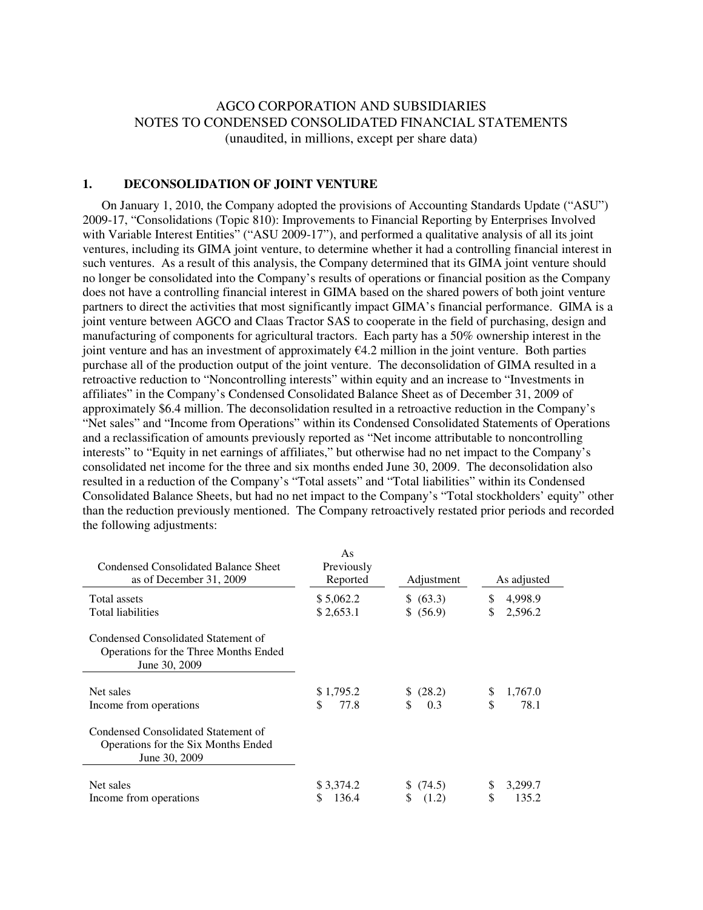### AGCO CORPORATION AND SUBSIDIARIES NOTES TO CONDENSED CONSOLIDATED FINANCIAL STATEMENTS (unaudited, in millions, except per share data)

### **1. DECONSOLIDATION OF JOINT VENTURE**

 On January 1, 2010, the Company adopted the provisions of Accounting Standards Update ("ASU") 2009-17, "Consolidations (Topic 810): Improvements to Financial Reporting by Enterprises Involved with Variable Interest Entities" ("ASU 2009-17"), and performed a qualitative analysis of all its joint ventures, including its GIMA joint venture, to determine whether it had a controlling financial interest in such ventures. As a result of this analysis, the Company determined that its GIMA joint venture should no longer be consolidated into the Company's results of operations or financial position as the Company does not have a controlling financial interest in GIMA based on the shared powers of both joint venture partners to direct the activities that most significantly impact GIMA's financial performance. GIMA is a joint venture between AGCO and Claas Tractor SAS to cooperate in the field of purchasing, design and manufacturing of components for agricultural tractors. Each party has a 50% ownership interest in the joint venture and has an investment of approximately  $\epsilon$ 4.2 million in the joint venture. Both parties purchase all of the production output of the joint venture. The deconsolidation of GIMA resulted in a retroactive reduction to "Noncontrolling interests" within equity and an increase to "Investments in affiliates" in the Company's Condensed Consolidated Balance Sheet as of December 31, 2009 of approximately \$6.4 million. The deconsolidation resulted in a retroactive reduction in the Company's "Net sales" and "Income from Operations" within its Condensed Consolidated Statements of Operations and a reclassification of amounts previously reported as "Net income attributable to noncontrolling interests" to "Equity in net earnings of affiliates," but otherwise had no net impact to the Company's consolidated net income for the three and six months ended June 30, 2009. The deconsolidation also resulted in a reduction of the Company's "Total assets" and "Total liabilities" within its Condensed Consolidated Balance Sheets, but had no net impact to the Company's "Total stockholders' equity" other than the reduction previously mentioned. The Company retroactively restated prior periods and recorded the following adjustments:

| <b>Condensed Consolidated Balance Sheet</b><br>as of December 31, 2009                        | As<br>Previously<br>Reported | Adjustment | As adjusted    |
|-----------------------------------------------------------------------------------------------|------------------------------|------------|----------------|
| Total assets                                                                                  | \$5,062.2                    | \$ (63.3)  | \$.<br>4,998.9 |
| Total liabilities                                                                             | \$2,653.1                    | \$ (56.9)  | \$<br>2,596.2  |
| Condensed Consolidated Statement of<br>Operations for the Three Months Ended<br>June 30, 2009 |                              |            |                |
| Net sales                                                                                     | \$1,795.2                    | \$ (28.2)  | \$<br>1,767.0  |
| Income from operations                                                                        | 77.8<br>S                    | \$<br>0.3  | \$<br>78.1     |
| Condensed Consolidated Statement of<br>Operations for the Six Months Ended<br>June 30, 2009   |                              |            |                |
| Net sales                                                                                     | \$3,374.2                    | \$(74.5)   | S<br>3,299.7   |
| Income from operations                                                                        | 136.4                        | (1.2)      | 135.2          |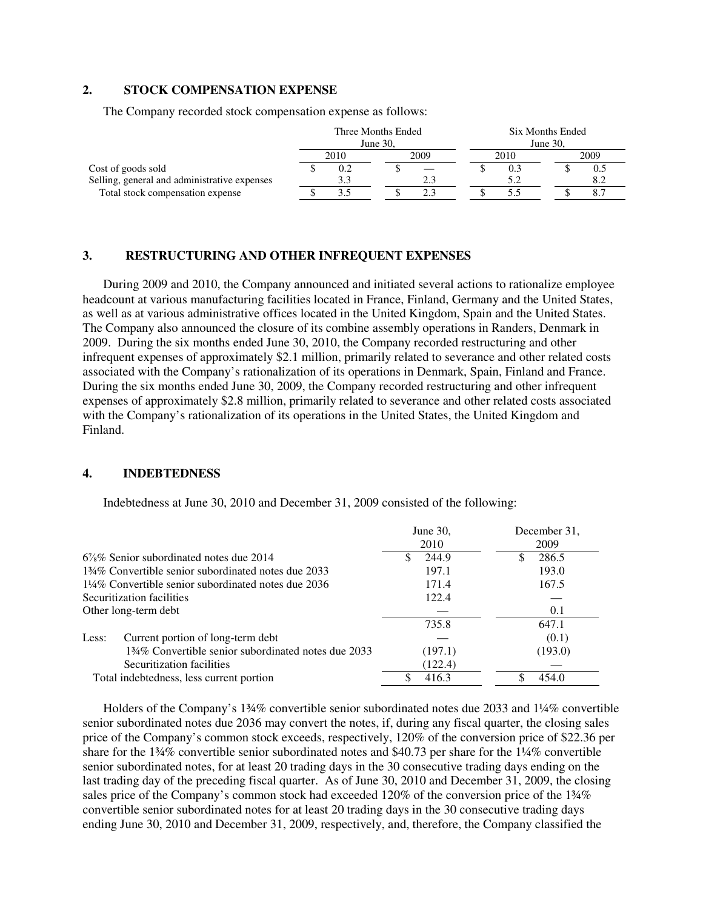### **2. STOCK COMPENSATION EXPENSE**

The Company recorded stock compensation expense as follows:

|                                              | Three Months Ended |      |             | Six Months Ended |      |  |                |
|----------------------------------------------|--------------------|------|-------------|------------------|------|--|----------------|
|                                              | June $30$ .        |      | June $30$ . |                  |      |  |                |
|                                              |                    | 2010 | 2009        |                  | 2010 |  | 2009           |
| Cost of goods sold                           |                    | 0.2  |             |                  | 0.3  |  | 0.5            |
| Selling, general and administrative expenses |                    |      |             |                  |      |  |                |
| Total stock compensation expense             |                    |      |             |                  |      |  | $\mathbf{o}$ . |

#### **3. RESTRUCTURING AND OTHER INFREQUENT EXPENSES**

During 2009 and 2010, the Company announced and initiated several actions to rationalize employee headcount at various manufacturing facilities located in France, Finland, Germany and the United States, as well as at various administrative offices located in the United Kingdom, Spain and the United States. The Company also announced the closure of its combine assembly operations in Randers, Denmark in 2009. During the six months ended June 30, 2010, the Company recorded restructuring and other infrequent expenses of approximately \$2.1 million, primarily related to severance and other related costs associated with the Company's rationalization of its operations in Denmark, Spain, Finland and France. During the six months ended June 30, 2009, the Company recorded restructuring and other infrequent expenses of approximately \$2.8 million, primarily related to severance and other related costs associated with the Company's rationalization of its operations in the United States, the United Kingdom and Finland.

### **4. INDEBTEDNESS**

Indebtedness at June 30, 2010 and December 31, 2009 consisted of the following:

|                                                                 | June $30$ ,<br>2010 | December 31.<br>2009 |
|-----------------------------------------------------------------|---------------------|----------------------|
| $6\%$ % Senior subordinated notes due 2014                      | 244.9               | 286.5                |
| 134\% Convertible senior subordinated notes due 2033            | 197.1               | 193.0                |
| $1\frac{1}{4}\%$ Convertible senior subordinated notes due 2036 | 171.4               | 167.5                |
| Securitization facilities                                       | 122.4               |                      |
| Other long-term debt                                            |                     | 0.1                  |
|                                                                 | 735.8               | 647.1                |
| Current portion of long-term debt<br>Less:                      |                     | (0.1)                |
| 134% Convertible senior subordinated notes due 2033             | (197.1)             | (193.0)              |
| Securitization facilities                                       | (122.4)             |                      |
| Total indebtedness, less current portion                        | 416.3               | 454.0                |

 Holders of the Company's 1¾% convertible senior subordinated notes due 2033 and 1¼% convertible senior subordinated notes due 2036 may convert the notes, if, during any fiscal quarter, the closing sales price of the Company's common stock exceeds, respectively, 120% of the conversion price of \$22.36 per share for the 1¾% convertible senior subordinated notes and \$40.73 per share for the 1¼% convertible senior subordinated notes, for at least 20 trading days in the 30 consecutive trading days ending on the last trading day of the preceding fiscal quarter. As of June 30, 2010 and December 31, 2009, the closing sales price of the Company's common stock had exceeded 120% of the conversion price of the 1¼% convertible senior subordinated notes for at least 20 trading days in the 30 consecutive trading days ending June 30, 2010 and December 31, 2009, respectively, and, therefore, the Company classified the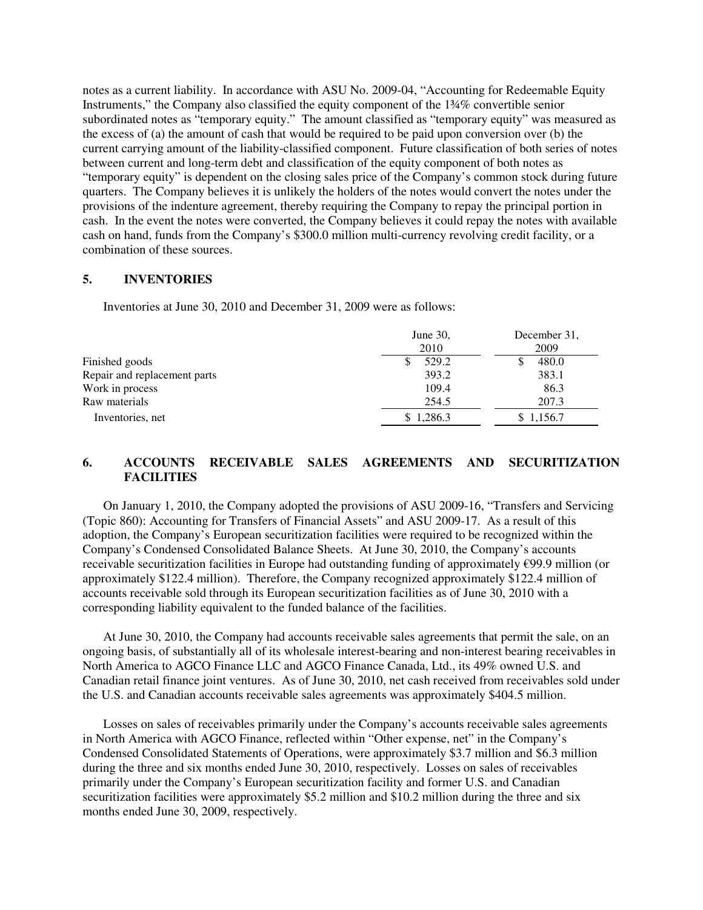notes as a current liability. In accordance with ASU No. 2009-04, "Accounting for Redeemable Equity Instruments," the Company also classified the equity component of the 1¾% convertible senior subordinated notes as "temporary equity." The amount classified as "temporary equity" was measured as the excess of (a) the amount of cash that would be required to be paid upon conversion over (b) the current carrying amount of the liability-classified component. Future classification of both series of notes between current and long-term debt and classification of the equity component of both notes as "temporary equity" is dependent on the closing sales price of the Company's common stock during future quarters. The Company believes it is unlikely the holders of the notes would convert the notes under the provisions of the indenture agreement, thereby requiring the Company to repay the principal portion in cash. In the event the notes were converted, the Company believes it could repay the notes with available cash on hand, funds from the Company's \$300.0 million multi-currency revolving credit facility, or a combination of these sources.

### **5. INVENTORIES**

Inventories at June 30, 2010 and December 31, 2009 were as follows:

|                              | June $30$ ,<br>2010 | December 31.<br>2009 |
|------------------------------|---------------------|----------------------|
| Finished goods               | 529.2               | 480.0                |
| Repair and replacement parts | 393.2               | 383.1                |
| Work in process              | 109.4               | 86.3                 |
| Raw materials                | 254.5               | 207.3                |
| Inventories, net             | \$1,286.3           | \$1,156.7            |

### **6. ACCOUNTS RECEIVABLE SALES AGREEMENTS AND SECURITIZATION FACILITIES**

On January 1, 2010, the Company adopted the provisions of ASU 2009-16, "Transfers and Servicing (Topic 860): Accounting for Transfers of Financial Assets" and ASU 2009-17. As a result of this adoption, the Company's European securitization facilities were required to be recognized within the Company's Condensed Consolidated Balance Sheets. At June 30, 2010, the Company's accounts receivable securitization facilities in Europe had outstanding funding of approximately €99.9 million (or approximately \$122.4 million). Therefore, the Company recognized approximately \$122.4 million of accounts receivable sold through its European securitization facilities as of June 30, 2010 with a corresponding liability equivalent to the funded balance of the facilities.

At June 30, 2010, the Company had accounts receivable sales agreements that permit the sale, on an ongoing basis, of substantially all of its wholesale interest-bearing and non-interest bearing receivables in North America to AGCO Finance LLC and AGCO Finance Canada, Ltd., its 49% owned U.S. and Canadian retail finance joint ventures. As of June 30, 2010, net cash received from receivables sold under the U.S. and Canadian accounts receivable sales agreements was approximately \$404.5 million.

Losses on sales of receivables primarily under the Company's accounts receivable sales agreements in North America with AGCO Finance, reflected within "Other expense, net" in the Company's Condensed Consolidated Statements of Operations, were approximately \$3.7 million and \$6.3 million during the three and six months ended June 30, 2010, respectively. Losses on sales of receivables primarily under the Company's European securitization facility and former U.S. and Canadian securitization facilities were approximately \$5.2 million and \$10.2 million during the three and six months ended June 30, 2009, respectively.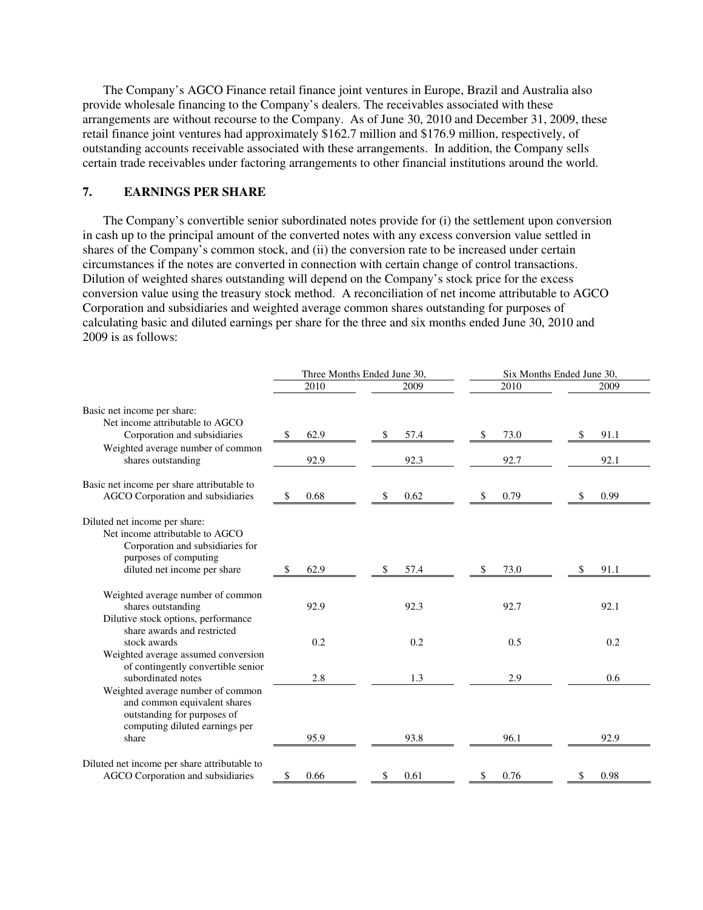The Company's AGCO Finance retail finance joint ventures in Europe, Brazil and Australia also provide wholesale financing to the Company's dealers. The receivables associated with these arrangements are without recourse to the Company. As of June 30, 2010 and December 31, 2009, these retail finance joint ventures had approximately \$162.7 million and \$176.9 million, respectively, of outstanding accounts receivable associated with these arrangements. In addition, the Company sells certain trade receivables under factoring arrangements to other financial institutions around the world.

### **7. EARNINGS PER SHARE**

The Company's convertible senior subordinated notes provide for (i) the settlement upon conversion in cash up to the principal amount of the converted notes with any excess conversion value settled in shares of the Company's common stock, and (ii) the conversion rate to be increased under certain circumstances if the notes are converted in connection with certain change of control transactions. Dilution of weighted shares outstanding will depend on the Company's stock price for the excess conversion value using the treasury stock method. A reconciliation of net income attributable to AGCO Corporation and subsidiaries and weighted average common shares outstanding for purposes of calculating basic and diluted earnings per share for the three and six months ended June 30, 2010 and 2009 is as follows:

|                                                                                                                                                                   | Three Months Ended June 30, |             | Six Months Ended June 30, |             |  |
|-------------------------------------------------------------------------------------------------------------------------------------------------------------------|-----------------------------|-------------|---------------------------|-------------|--|
|                                                                                                                                                                   | 2010                        | 2009        | 2010                      | 2009        |  |
| Basic net income per share:<br>Net income attributable to AGCO<br>Corporation and subsidiaries                                                                    | \$<br>62.9                  | 57.4<br>\$  | 73.0<br>\$                | 91.1<br>\$  |  |
| Weighted average number of common<br>shares outstanding                                                                                                           | 92.9                        | 92.3        | 92.7                      | 92.1        |  |
| Basic net income per share attributable to<br>AGCO Corporation and subsidiaries                                                                                   | 0.68<br>\$                  | 0.62<br>\$  | 0.79<br>\$                | 0.99<br>S   |  |
| Diluted net income per share:<br>Net income attributable to AGCO<br>Corporation and subsidiaries for<br>purposes of computing<br>diluted net income per share     | 62.9<br>\$                  | 57.4<br>S   | 73.0<br>S                 | 91.1        |  |
| Weighted average number of common<br>shares outstanding<br>Dilutive stock options, performance<br>share awards and restricted                                     | 92.9                        | 92.3        | 92.7                      | 92.1        |  |
| stock awards<br>Weighted average assumed conversion<br>of contingently convertible senior                                                                         | 0.2                         | 0.2         | 0.5                       | 0.2         |  |
| subordinated notes<br>Weighted average number of common<br>and common equivalent shares<br>outstanding for purposes of<br>computing diluted earnings per<br>share | 2.8<br>95.9                 | 1.3<br>93.8 | 2.9<br>96.1               | 0.6<br>92.9 |  |
| Diluted net income per share attributable to<br>AGCO Corporation and subsidiaries                                                                                 | \$<br>0.66                  | 0.61<br>\$  | \$<br>0.76                | 0.98<br>S   |  |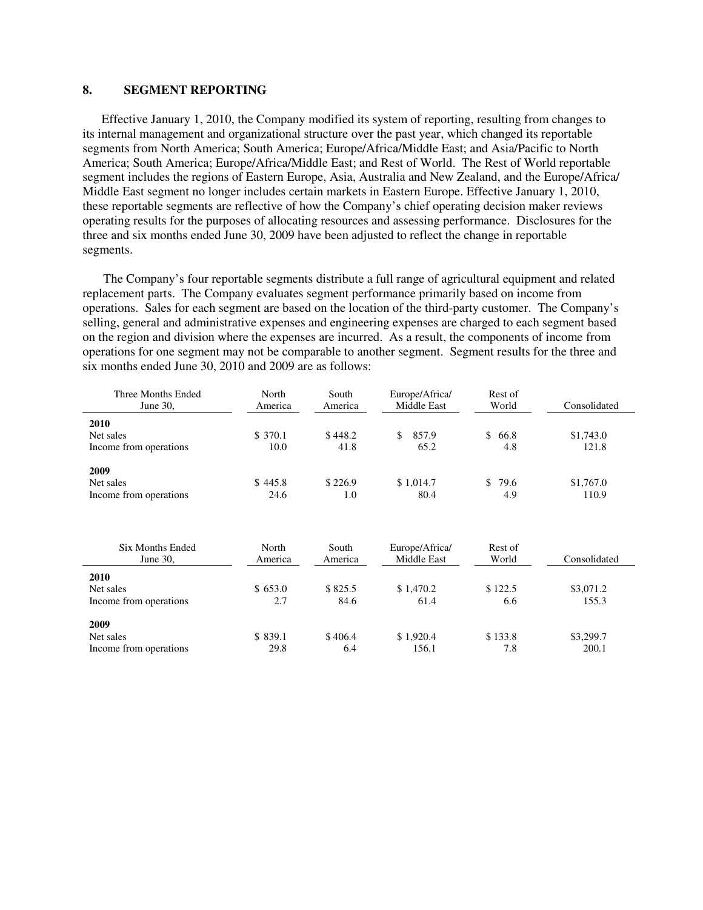#### **8. SEGMENT REPORTING**

 Effective January 1, 2010, the Company modified its system of reporting, resulting from changes to its internal management and organizational structure over the past year, which changed its reportable segments from North America; South America; Europe/Africa/Middle East; and Asia/Pacific to North America; South America; Europe/Africa/Middle East; and Rest of World. The Rest of World reportable segment includes the regions of Eastern Europe, Asia, Australia and New Zealand, and the Europe/Africa/ Middle East segment no longer includes certain markets in Eastern Europe. Effective January 1, 2010, these reportable segments are reflective of how the Company's chief operating decision maker reviews operating results for the purposes of allocating resources and assessing performance. Disclosures for the three and six months ended June 30, 2009 have been adjusted to reflect the change in reportable segments.

The Company's four reportable segments distribute a full range of agricultural equipment and related replacement parts. The Company evaluates segment performance primarily based on income from operations. Sales for each segment are based on the location of the third-party customer. The Company's selling, general and administrative expenses and engineering expenses are charged to each segment based on the region and division where the expenses are incurred. As a result, the components of income from operations for one segment may not be comparable to another segment. Segment results for the three and six months ended June 30, 2010 and 2009 are as follows:

| Three Months Ended<br>June $30$ ,   | North<br>America | South<br>America | Europe/Africa/<br>Middle East | Rest of<br>World | Consolidated       |
|-------------------------------------|------------------|------------------|-------------------------------|------------------|--------------------|
| 2010<br>Net sales                   | \$ 370.1         | \$448.2          | 857.9<br>\$.                  | \$66.8           | \$1,743.0          |
| Income from operations              | 10.0             | 41.8             | 65.2                          | 4.8              | 121.8              |
| 2009                                |                  | \$226.9          |                               |                  |                    |
| Net sales<br>Income from operations | \$445.8<br>24.6  | 1.0              | \$1,014.7<br>80.4             | \$79.6<br>4.9    | \$1,767.0<br>110.9 |

| Six Months Ended<br>June 30,                | North<br>America | South<br>America | Europe/Africa/<br>Middle East | Rest of<br>World | Consolidated       |
|---------------------------------------------|------------------|------------------|-------------------------------|------------------|--------------------|
| 2010<br>Net sales<br>Income from operations | \$653.0<br>2.7   | \$825.5<br>84.6  | \$1,470.2<br>61.4             | \$122.5<br>6.6   | \$3,071.2<br>155.3 |
| 2009<br>Net sales<br>Income from operations | \$839.1<br>29.8  | \$406.4<br>6.4   | \$1.920.4<br>156.1            | \$133.8<br>7.8   | \$3,299.7<br>200.1 |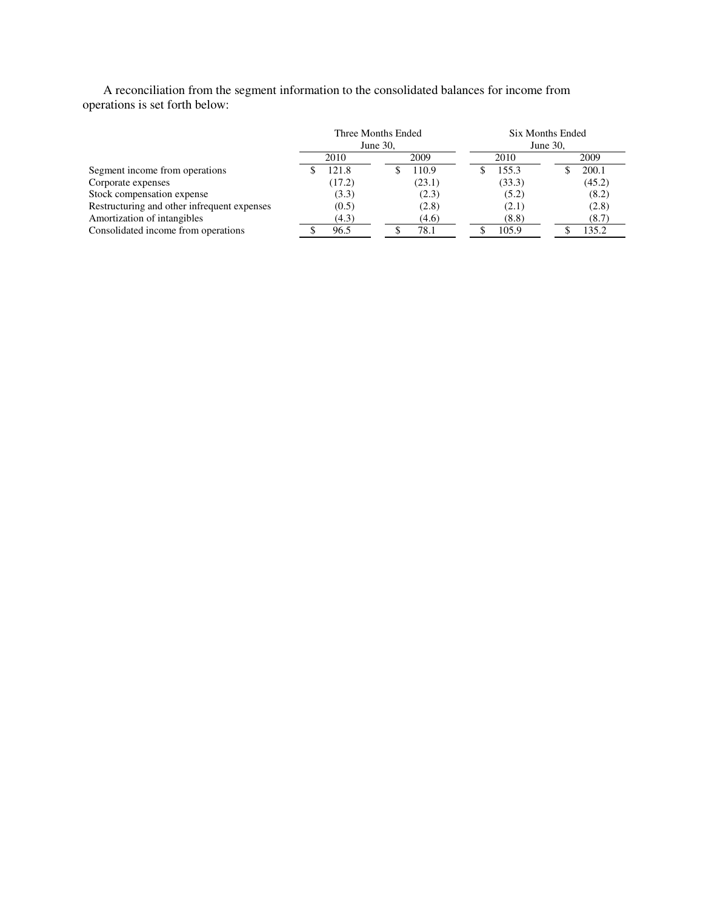A reconciliation from the segment information to the consolidated balances for income from operations is set forth below:

|                                             |          | Three Months Ended | <b>Six Months Ended</b> |        |  |
|---------------------------------------------|----------|--------------------|-------------------------|--------|--|
|                                             | June 30, |                    | June 30,                |        |  |
|                                             | 2010     | 2009               | 2010                    | 2009   |  |
| Segment income from operations              | 121.8    | 110.9              | 155.3                   | 200.1  |  |
| Corporate expenses                          | (17.2)   | (23.1)             | (33.3)                  | (45.2) |  |
| Stock compensation expense                  | (3.3)    | (2.3)              | (5.2)                   | (8.2)  |  |
| Restructuring and other infrequent expenses | (0.5)    | (2.8)              | (2.1)                   | (2.8)  |  |
| Amortization of intangibles                 | (4.3)    | (4.6)              | (8.8)                   | (8.7)  |  |
| Consolidated income from operations         | 96.5     | 78.1               | 105.9                   | 135.2  |  |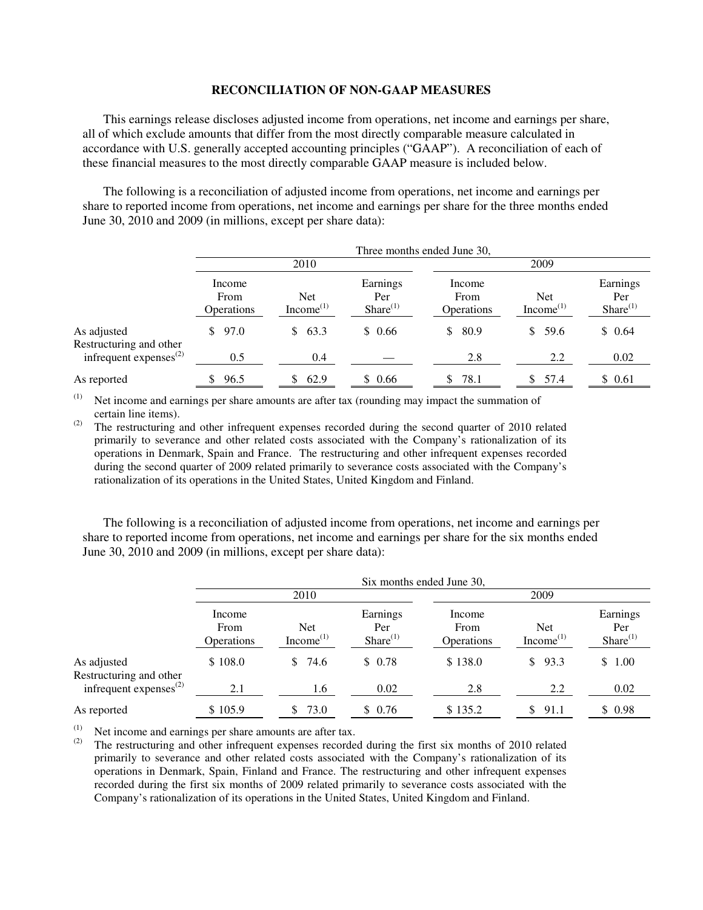#### **RECONCILIATION OF NON-GAAP MEASURES**

This earnings release discloses adjusted income from operations, net income and earnings per share, all of which exclude amounts that differ from the most directly comparable measure calculated in accordance with U.S. generally accepted accounting principles ("GAAP"). A reconciliation of each of these financial measures to the most directly comparable GAAP measure is included below.

The following is a reconciliation of adjusted income from operations, net income and earnings per share to reported income from operations, net income and earnings per share for the three months ended June 30, 2010 and 2009 (in millions, except per share data):

|                                        | Three months ended June 30,  |                                     |                                  |                                     |                                     |                                  |
|----------------------------------------|------------------------------|-------------------------------------|----------------------------------|-------------------------------------|-------------------------------------|----------------------------------|
|                                        | 2010                         |                                     |                                  | 2009                                |                                     |                                  |
|                                        | Income<br>From<br>Operations | <b>Net</b><br>Income <sup>(1)</sup> | Earnings<br>Per<br>$Share^{(1)}$ | Income<br>From<br><b>Operations</b> | <b>Net</b><br>Income <sup>(1)</sup> | Earnings<br>Per<br>$Share^{(1)}$ |
| As adjusted<br>Restructuring and other | \$97.0                       | 63.3<br>S.                          | \$0.66                           | 80.9<br>S.                          | 59.6<br>\$.                         | \$0.64                           |
| infrequent expenses $^{(2)}$           | 0.5                          | 0.4                                 |                                  | 2.8                                 | 2.2                                 | 0.02                             |
| As reported                            | 96.5                         | 62.9                                | \$0.66                           | 78.1                                | 57.4                                | \$ 0.61                          |

 $(1)$  Net income and earnings per share amounts are after tax (rounding may impact the summation of certain line items).

(2) The restructuring and other infrequent expenses recorded during the second quarter of 2010 related primarily to severance and other related costs associated with the Company's rationalization of its operations in Denmark, Spain and France. The restructuring and other infrequent expenses recorded during the second quarter of 2009 related primarily to severance costs associated with the Company's rationalization of its operations in the United States, United Kingdom and Finland.

The following is a reconciliation of adjusted income from operations, net income and earnings per share to reported income from operations, net income and earnings per share for the six months ended June 30, 2010 and 2009 (in millions, except per share data):

|                                        | Six months ended June 30,           |                               |                                  |                                     |                               |                                  |
|----------------------------------------|-------------------------------------|-------------------------------|----------------------------------|-------------------------------------|-------------------------------|----------------------------------|
|                                        | 2010                                |                               |                                  | 2009                                |                               |                                  |
|                                        | Income<br>From<br><b>Operations</b> | <b>Net</b><br>Income $^{(1)}$ | Earnings<br>Per<br>$Share^{(1)}$ | Income<br>From<br><b>Operations</b> | <b>Net</b><br>Income $^{(1)}$ | Earnings<br>Per<br>$Share^{(1)}$ |
| As adjusted<br>Restructuring and other | \$108.0                             | 74.6<br>S.                    | \$0.78                           | \$138.0                             | \$93.3                        | \$1.00                           |
| infrequent expenses $^{(2)}$           | 2.1                                 | 1.6                           | 0.02                             | 2.8                                 | 2.2                           | 0.02                             |
| As reported                            | \$105.9                             | 73.0<br>S                     | \$0.76                           | \$135.2                             | 91.1<br>S.                    | \$0.98                           |

(1) Net income and earnings per share amounts are after tax.<br>(2) The restructuring and other infractuant expenses recorded

The restructuring and other infrequent expenses recorded during the first six months of 2010 related primarily to severance and other related costs associated with the Company's rationalization of its operations in Denmark, Spain, Finland and France. The restructuring and other infrequent expenses recorded during the first six months of 2009 related primarily to severance costs associated with the Company's rationalization of its operations in the United States, United Kingdom and Finland.